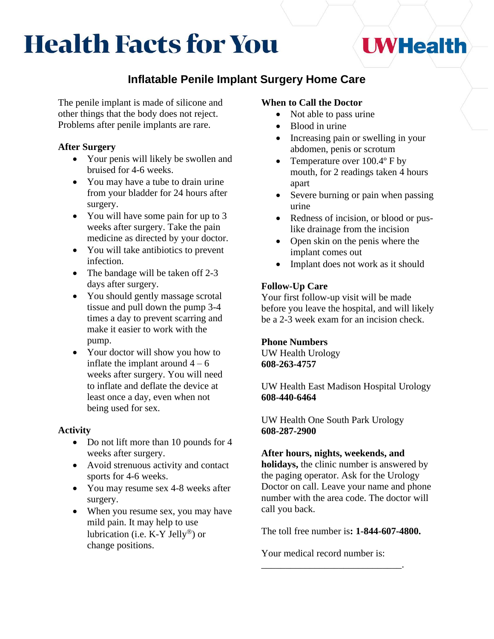# **Health Facts for You**

# **Inflatable Penile Implant Surgery Home Care**

The penile implant is made of silicone and other things that the body does not reject. Problems after penile implants are rare.

## **After Surgery**

- Your penis will likely be swollen and bruised for 4-6 weeks.
- You may have a tube to drain urine from your bladder for 24 hours after surgery.
- You will have some pain for up to 3 weeks after surgery. Take the pain medicine as directed by your doctor.
- You will take antibiotics to prevent infection.
- The bandage will be taken off 2-3 days after surgery.
- You should gently massage scrotal tissue and pull down the pump 3-4 times a day to prevent scarring and make it easier to work with the pump.
- Your doctor will show you how to inflate the implant around  $4 - 6$ weeks after surgery. You will need to inflate and deflate the device at least once a day, even when not being used for sex.

### **Activity**

- Do not lift more than 10 pounds for 4 weeks after surgery.
- Avoid strenuous activity and contact sports for 4-6 weeks.
- You may resume sex 4-8 weeks after surgery.
- When you resume sex, you may have mild pain. It may help to use lubrication (i.e. K-Y Jelly<sup>®</sup>) or change positions.

# **When to Call the Doctor**

- Not able to pass urine
- Blood in urine
- Increasing pain or swelling in your abdomen, penis or scrotum

**UWHealth** 

- Temperature over 100.4° F by mouth, for 2 readings taken 4 hours apart
- Severe burning or pain when passing urine
- Redness of incision, or blood or puslike drainage from the incision
- Open skin on the penis where the implant comes out
- Implant does not work as it should

# **Follow-Up Care**

Your first follow-up visit will be made before you leave the hospital, and will likely be a 2-3 week exam for an incision check.

### **Phone Numbers**

UW Health Urology **608-263-4757**

UW Health East Madison Hospital Urology **608-440-6464**

UW Health One South Park Urology **608-287-2900**

### **After hours, nights, weekends, and**

**holidays,** the clinic number is answered by the paging operator. Ask for the Urology Doctor on call. Leave your name and phone number with the area code. The doctor will call you back.

The toll free number is**: 1-844-607-4800.**

Your medical record number is:

\_\_\_\_\_\_\_\_\_\_\_\_\_\_\_\_\_\_\_\_\_\_\_\_\_\_\_\_\_.